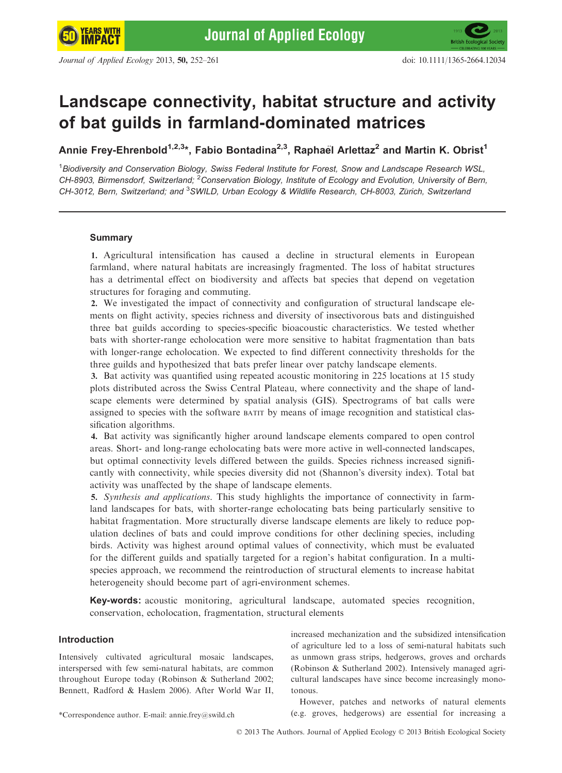# Landscape connectivity, habitat structure and activity of bat guilds in farmland-dominated matrices

Annie Frey-Ehrenbold<sup>1,2,3\*</sup>, Fabio Bontadina<sup>2,3</sup>, Raphael Arlettaz<sup>2</sup> and Martin K. Obrist<sup>1</sup>

<sup>1</sup> Biodiversity and Conservation Biology, Swiss Federal Institute for Forest, Snow and Landscape Research WSL, CH-8903, Birmensdorf, Switzerland; <sup>2</sup>Conservation Biology, Institute of Ecology and Evolution, University of Bern, CH-3012, Bern, Switzerland; and <sup>3</sup>SWILD, Urban Ecology & Wildlife Research, CH-8003, Zürich, Switzerland

## Summary

1. Agricultural intensification has caused a decline in structural elements in European farmland, where natural habitats are increasingly fragmented. The loss of habitat structures has a detrimental effect on biodiversity and affects bat species that depend on vegetation structures for foraging and commuting.

2. We investigated the impact of connectivity and configuration of structural landscape elements on flight activity, species richness and diversity of insectivorous bats and distinguished three bat guilds according to species-specific bioacoustic characteristics. We tested whether bats with shorter-range echolocation were more sensitive to habitat fragmentation than bats with longer-range echolocation. We expected to find different connectivity thresholds for the three guilds and hypothesized that bats prefer linear over patchy landscape elements.

3. Bat activity was quantified using repeated acoustic monitoring in 225 locations at 15 study plots distributed across the Swiss Central Plateau, where connectivity and the shape of landscape elements were determined by spatial analysis (GIS). Spectrograms of bat calls were assigned to species with the software BATIT by means of image recognition and statistical classification algorithms.

4. Bat activity was significantly higher around landscape elements compared to open control areas. Short- and long-range echolocating bats were more active in well-connected landscapes, but optimal connectivity levels differed between the guilds. Species richness increased significantly with connectivity, while species diversity did not (Shannon's diversity index). Total bat activity was unaffected by the shape of landscape elements.

5. Synthesis and applications. This study highlights the importance of connectivity in farmland landscapes for bats, with shorter-range echolocating bats being particularly sensitive to habitat fragmentation. More structurally diverse landscape elements are likely to reduce population declines of bats and could improve conditions for other declining species, including birds. Activity was highest around optimal values of connectivity, which must be evaluated for the different guilds and spatially targeted for a region's habitat configuration. In a multispecies approach, we recommend the reintroduction of structural elements to increase habitat heterogeneity should become part of agri-environment schemes.

Key-words: acoustic monitoring, agricultural landscape, automated species recognition, conservation, echolocation, fragmentation, structural elements

## Introduction

Intensively cultivated agricultural mosaic landscapes, interspersed with few semi-natural habitats, are common throughout Europe today (Robinson & Sutherland 2002; Bennett, Radford & Haslem 2006). After World War II, increased mechanization and the subsidized intensification of agriculture led to a loss of semi-natural habitats such as unmown grass strips, hedgerows, groves and orchards (Robinson & Sutherland 2002). Intensively managed agricultural landscapes have since become increasingly monotonous.

However, patches and networks of natural elements \*Correspondence author. E-mail: annie.frey@swild.ch (e.g. groves, hedgerows) are essential for increasing a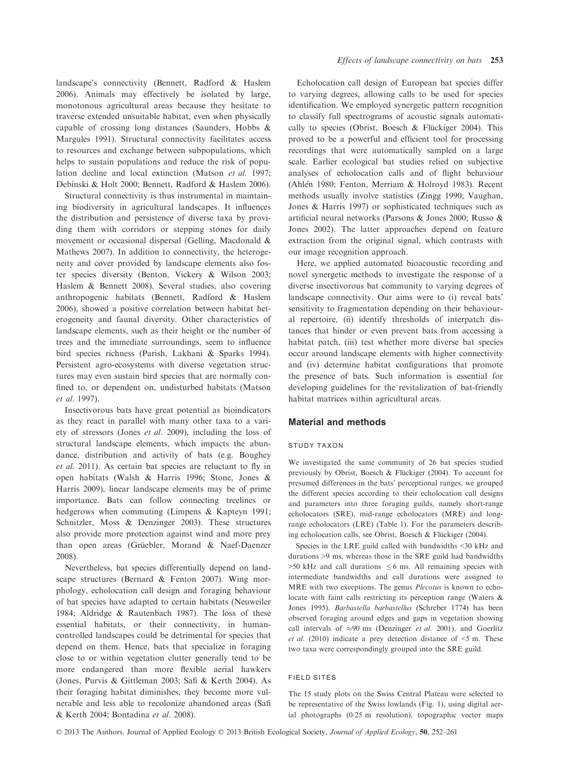landscape's connectivity (Bennett, Radford & Haslem 2006). Animals may effectively be isolated by large, monotonous agricultural areas because they hesitate to traverse extended unsuitable habitat, even when physically capable of crossing long distances (Saunders, Hobbs & Margules 1991). Structural connectivity facilitates access to resources and exchange between subpopulations, which helps to sustain populations and reduce the risk of population decline and local extinction (Matson et al. 1997; Debinski & Holt 2000; Bennett, Radford & Haslem 2006).

Structural connectivity is thus instrumental in maintaining biodiversity in agricultural landscapes. It influences the distribution and persistence of diverse taxa by providing them with corridors or stepping stones for daily movement or occasional dispersal (Gelling, Macdonald & Mathews 2007). In addition to connectivity, the heterogeneity and cover provided by landscape elements also foster species diversity (Benton, Vickery & Wilson 2003; Haslem & Bennett 2008). Several studies, also covering anthropogenic habitats (Bennett, Radford & Haslem 2006), showed a positive correlation between habitat heterogeneity and faunal diversity. Other characteristics of landscape elements, such as their height or the number of trees and the immediate surroundings, seem to influence bird species richness (Parish, Lakhani & Sparks 1994). Persistent agro-ecosystems with diverse vegetation structures may even sustain bird species that are normally confined to, or dependent on, undisturbed habitats (Matson et al. 1997).

Insectivorous bats have great potential as bioindicators as they react in parallel with many other taxa to a variety of stressors (Jones et al. 2009), including the loss of structural landscape elements, which impacts the abundance, distribution and activity of bats (e.g. Boughey et al. 2011). As certain bat species are reluctant to fly in open habitats (Walsh & Harris 1996; Stone, Jones & Harris 2009), linear landscape elements may be of prime importance. Bats can follow connecting treelines or hedgerows when commuting (Limpens & Kapteyn 1991; Schnitzler, Moss & Denzinger 2003). These structures also provide more protection against wind and more prey than open areas (Grüebler, Morand & Naef-Daenzer 2008).

Nevertheless, bat species differentially depend on landscape structures (Bernard & Fenton 2007). Wing morphology, echolocation call design and foraging behaviour of bat species have adapted to certain habitats (Neuweiler 1984; Aldridge & Rautenbach 1987). The loss of these essential habitats, or their connectivity, in humancontrolled landscapes could be detrimental for species that depend on them. Hence, bats that specialize in foraging close to or within vegetation clutter generally tend to be more endangered than more flexible aerial hawkers (Jones, Purvis & Gittleman 2003; Safi & Kerth 2004). As their foraging habitat diminishes, they become more vulnerable and less able to recolonize abandoned areas (Safi & Kerth 2004; Bontadina et al. 2008).

Echolocation call design of European bat species differ to varying degrees, allowing calls to be used for species identification. We employed synergetic pattern recognition to classify full spectrograms of acoustic signals automatically to species (Obrist, Boesch & Flückiger 2004). This proved to be a powerful and efficient tool for processing recordings that were automatically sampled on a large scale. Earlier ecological bat studies relied on subjective analyses of echolocation calls and of flight behaviour (Ahlén 1980; Fenton, Merriam & Holroyd 1983). Recent methods usually involve statistics (Zingg 1990; Vaughan, Jones & Harris 1997) or sophisticated techniques such as artificial neural networks (Parsons & Jones 2000; Russo & Jones 2002). The latter approaches depend on feature extraction from the original signal, which contrasts with our image recognition approach.

Here, we applied automated bioacoustic recording and novel synergetic methods to investigate the response of a diverse insectivorous bat community to varying degrees of landscape connectivity. Our aims were to (i) reveal bats' sensitivity to fragmentation depending on their behavioural repertoire, (ii) identify thresholds of interpatch distances that hinder or even prevent bats from accessing a habitat patch, (iii) test whether more diverse bat species occur around landscape elements with higher connectivity and (iv) determine habitat configurations that promote the presence of bats. Such information is essential for developing guidelines for the revitalization of bat-friendly habitat matrices within agricultural areas.

## Material and methods

## STUDY TAXON

We investigated the same community of 26 bat species studied previously by Obrist, Boesch & Flückiger (2004). To account for presumed differences in the bats' perceptional ranges, we grouped the different species according to their echolocation call designs and parameters into three foraging guilds, namely short-range echolocators (SRE), mid-range echolocators (MRE) and longrange echolocators (LRE) (Table 1). For the parameters describing echolocation calls, see Obrist, Boesch & Flückiger (2004).

Species in the LRE guild called with bandwidths <30 kHz and durations >9 ms, whereas those in the SRE guild had bandwidths  $>50$  kHz and call durations  $< 6$  ms. All remaining species with intermediate bandwidths and call durations were assigned to MRE with two exceptions. The genus Plecotus is known to echolocate with faint calls restricting its perception range (Waters & Jones 1995). Barbastella barbastellus (Schreber 1774) has been observed foraging around edges and gaps in vegetation showing call intervals of  $\approx 90$  ms (Denzinger *et al.* 2001), and Goerlitz et al. (2010) indicate a prey detection distance of  $\leq$  5 m. These two taxa were correspondingly grouped into the SRE guild.

## FIELD SITES

The 15 study plots on the Swiss Central Plateau were selected to be representative of the Swiss lowlands (Fig. 1), using digital aerial photographs (025 m resolution), topographic vector maps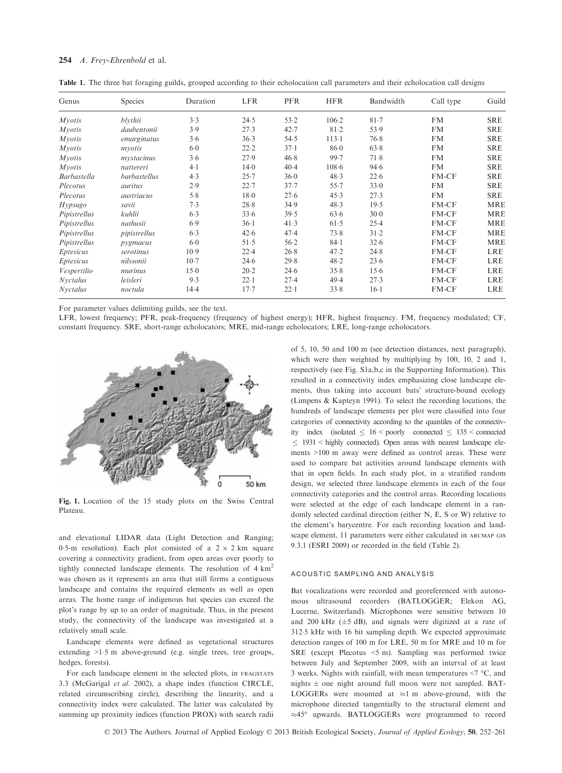### 254 A. Frey-Ehrenbold et al.

Table 1. The three bat foraging guilds, grouped according to their echolocation call parameters and their echolocation call designs

| Genus              | <b>Species</b> | Duration | <b>LFR</b> | <b>PFR</b> | <b>HFR</b> | Bandwidth | Call type | Guild      |
|--------------------|----------------|----------|------------|------------|------------|-----------|-----------|------------|
| Mvotis             | blythii        | 3.3      | 24.5       | 53.2       | $106 - 2$  | 81.7      | <b>FM</b> | <b>SRE</b> |
| <i>Myotis</i>      | daubentonii    | 3.9      | 27.3       | 42.7       | 81.2       | 53.9      | <b>FM</b> | <b>SRE</b> |
| <i>Myotis</i>      | emarginatus    | 3.6      | 36.3       | 54.5       | 113.1      | 76.8      | <b>FM</b> | <b>SRE</b> |
| Myotis             | mvotis         | $6-0$    | 22.2       | $37-1$     | $86-0$     | 63.8      | <b>FM</b> | <b>SRE</b> |
| <i>Myotis</i>      | mystacinus     | 3.6      | 27.9       | 46.8       | 99.7       | 71.8      | <b>FM</b> | <b>SRE</b> |
| Mvotis             | nattereri      | $4-1$    | $14-0$     | 40.4       | $108 - 6$  | 94.6      | <b>FM</b> | <b>SRE</b> |
| <b>Barbastella</b> | barbastellus   | 4.3      | 25.7       | 36.0       | 48.3       | 22.6      | FM-CF     | <b>SRE</b> |
| Plecotus           | auritus        | 2.9      | 22.7       | 37.7       | 55.7       | 33.0      | <b>FM</b> | <b>SRE</b> |
| Plecotus           | austriacus     | 5.8      | $18-0$     | 27.6       | 45.3       | 27.3      | <b>FM</b> | <b>SRE</b> |
| <i>Hypsugo</i>     | savii          | 7.3      | 28.8       | 34.9       | 48.3       | 19.5      | FM-CF     | <b>MRE</b> |
| Pipistrellus       | kuhlii         | 6.3      | 33.6       | 39.5       | 63.6       | 30.0      | FM-CF     | <b>MRE</b> |
| Pipistrellus       | nathusii       | 6.9      | $36-1$     | 41.3       | 61.5       | 25.4      | FM-CF     | <b>MRE</b> |
| Pipistrellus       | pipistrellus   | 6.3      | 42.6       | 47.4       | 73.8       | $31 - 2$  | FM-CF     | <b>MRE</b> |
| Pipistrellus       | pygmaeus       | $6 - 0$  | 51.5       | 56.2       | $84-1$     | 32.6      | FM-CF     | <b>MRE</b> |
| <i>Eptesicus</i>   | serotinus      | 10.9     | 22.4       | 26.8       | 47.2       | 24.8      | FM-CF     | <b>LRE</b> |
| <i>Eptesicus</i>   | nilssonii      | $10-7$   | 24.6       | 29.8       | 48.2       | 23.6      | FM-CF     | <b>LRE</b> |
| Vespertilio        | murinus        | 15.0     | $20-2$     | 24.6       | 35.8       | 15.6      | FM-CF     | <b>LRE</b> |
| <b>Nyctalus</b>    | leisleri       | 9.3      | 22.1       | 27.4       | 49.4       | 27.3      | FM-CF     | <b>LRE</b> |
| <b>Nyctalus</b>    | noctula        | 14.4     | 17.7       | $22 - 1$   | 33.8       | $16-1$    | FM-CF     | <b>LRE</b> |

For parameter values delimiting guilds, see the text.

LFR, lowest frequency; PFR, peak-frequency (frequency of highest energy); HFR, highest frequency. FM, frequency modulated; CF, constant frequency. SRE, short-range echolocators; MRE, mid-range echolocators; LRE, long-range echolocators.



Fig. 1. Location of the 15 study plots on the Swiss Central Plateau.

and elevational LIDAR data (Light Detection and Ranging; 0.5-m resolution). Each plot consisted of a  $2 \times 2$  km square covering a connectivity gradient, from open areas over poorly to tightly connected landscape elements. The resolution of  $4 \text{ km}^2$ was chosen as it represents an area that still forms a contiguous landscape and contains the required elements as well as open areas. The home range of indigenous bat species can exceed the plot's range by up to an order of magnitude. Thus, in the present study, the connectivity of the landscape was investigated at a relatively small scale.

Landscape elements were defined as vegetational structures extending >1.5 m above-ground (e.g. single trees, tree groups, hedges, forests).

For each landscape element in the selected plots, in FRAGSTATS 3.3 (McGarigal et al. 2002), a shape index (function CIRCLE, related circumscribing circle), describing the linearity, and a connectivity index were calculated. The latter was calculated by summing up proximity indices (function PROX) with search radii of 5, 10, 50 and 100 m (see detection distances, next paragraph), which were then weighted by multiplying by 100, 10, 2 and 1, respectively (see Fig. S1a,b,c in the Supporting Information). This resulted in a connectivity index emphasizing close landscape elements, thus taking into account bats' structure-bound ecology (Limpens & Kapteyn 1991). To select the recording locations, the hundreds of landscape elements per plot were classified into four categories of connectivity according to the quantiles of the connectivity index (isolated  $\leq 16$  < poorly connected  $\leq 135$  < connected  $\leq$  1931 < highly connected). Open areas with nearest landscape elements >100 m away were defined as control areas. These were used to compare bat activities around landscape elements with that in open fields. In each study plot, in a stratified random design, we selected three landscape elements in each of the four connectivity categories and the control areas. Recording locations were selected at the edge of each landscape element in a randomly selected cardinal direction (either N, E, S or W) relative to the element's barycentre. For each recording location and landscape element, 11 parameters were either calculated in ARCMAP GIS 9.3.1 (ESRI 2009) or recorded in the field (Table 2).

### ACOUSTIC SAMPLING AND ANALYSIS

Bat vocalizations were recorded and georeferenced with autonomous ultrasound recorders (BATLOGGER; Elekon AG, Lucerne, Switzerland). Microphones were sensitive between 10 and 200 kHz  $(\pm 5$  dB), and signals were digitized at a rate of 3125 kHz with 16 bit sampling depth. We expected approximate detection ranges of 100 m for LRE, 50 m for MRE and 10 m for SRE (except Plecotus <5 m). Sampling was performed twice between July and September 2009, with an interval of at least 3 weeks. Nights with rainfall, with mean temperatures <7 °C, and nights  $\pm$  one night around full moon were not sampled. BAT-LOGGERs were mounted at  $\approx$ 1 m above-ground, with the microphone directed tangentially to the structural element and  $\approx$ 45° upwards. BATLOGGERs were programmed to record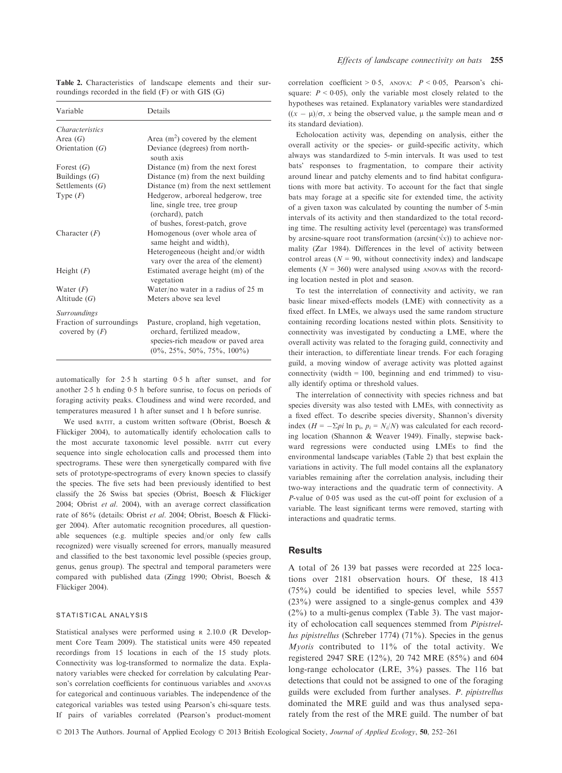| Variable                                     | Details                                                                                                                                     |  |  |  |  |
|----------------------------------------------|---------------------------------------------------------------------------------------------------------------------------------------------|--|--|--|--|
| <i>Characteristics</i>                       |                                                                                                                                             |  |  |  |  |
| Area $(G)$                                   | Area $(m^2)$ covered by the element                                                                                                         |  |  |  |  |
| Orientation $(G)$                            | Deviance (degrees) from north-<br>south axis                                                                                                |  |  |  |  |
| Forest $(G)$                                 | Distance (m) from the next forest                                                                                                           |  |  |  |  |
| Buildings $(G)$                              | Distance (m) from the next building                                                                                                         |  |  |  |  |
| Settlements $(G)$                            | Distance (m) from the next settlement                                                                                                       |  |  |  |  |
| Type $(F)$                                   | Hedgerow, arboreal hedgerow, tree<br>line, single tree, tree group<br>(orchard), patch                                                      |  |  |  |  |
| Character $(F)$                              | of bushes, forest-patch, grove<br>Homogenous (over whole area of<br>same height and width),                                                 |  |  |  |  |
|                                              | Heterogeneous (height and/or width<br>vary over the area of the element)                                                                    |  |  |  |  |
| Height $(F)$                                 | Estimated average height (m) of the<br>vegetation                                                                                           |  |  |  |  |
| Water $(F)$                                  | Water/no water in a radius of $25 \text{ m}$                                                                                                |  |  |  |  |
| Altitude $(G)$                               | Meters above sea level                                                                                                                      |  |  |  |  |
| <b>Surroundings</b>                          |                                                                                                                                             |  |  |  |  |
| Fraction of surroundings<br>covered by $(F)$ | Pasture, cropland, high vegetation,<br>orchard, fertilized meadow,<br>species-rich meadow or paved area<br>$(0\%, 25\%, 50\%, 75\%, 100\%)$ |  |  |  |  |

Table 2. Characteristics of landscape elements and their surroundings recorded in the field (F) or with GIS (G)

automatically for 25 h starting 05 h after sunset, and for another 25 h ending 05 h before sunrise, to focus on periods of foraging activity peaks. Cloudiness and wind were recorded, and temperatures measured 1 h after sunset and 1 h before sunrise.

We used BATIT, a custom written software (Obrist, Boesch & Flückiger 2004), to automatically identify echolocation calls to the most accurate taxonomic level possible. BATIT cut every sequence into single echolocation calls and processed them into spectrograms. These were then synergetically compared with five sets of prototype-spectrograms of every known species to classify the species. The five sets had been previously identified to best classify the 26 Swiss bat species (Obrist, Boesch & Flückiger 2004; Obrist et al. 2004), with an average correct classification rate of 86% (details: Obrist et al. 2004; Obrist, Boesch & Flückiger 2004). After automatic recognition procedures, all questionable sequences (e.g. multiple species and/or only few calls recognized) were visually screened for errors, manually measured and classified to the best taxonomic level possible (species group, genus, genus group). The spectral and temporal parameters were compared with published data (Zingg 1990; Obrist, Boesch & Flückiger 2004).

#### STATISTICAL ANALYSIS

Statistical analyses were performed using <sup>R</sup> 2.10.0 (R Development Core Team 2009). The statistical units were 450 repeated recordings from 15 locations in each of the 15 study plots. Connectivity was log-transformed to normalize the data. Explanatory variables were checked for correlation by calculating Pearson's correlation coefficients for continuous variables and ANOVAs for categorical and continuous variables. The independence of the categorical variables was tested using Pearson's chi-square tests. If pairs of variables correlated (Pearson's product-moment correlation coefficient > 0.5, ANOVA:  $P < 0.05$ , Pearson's chisquare:  $P \le 0.05$ , only the variable most closely related to the hypotheses was retained. Explanatory variables were standardized  $((x - \mu)/\sigma, x$  being the observed value,  $\mu$  the sample mean and  $\sigma$ its standard deviation).

Echolocation activity was, depending on analysis, either the overall activity or the species- or guild-specific activity, which always was standardized to 5-min intervals. It was used to test bats' responses to fragmentation, to compare their activity around linear and patchy elements and to find habitat configurations with more bat activity. To account for the fact that single bats may forage at a specific site for extended time, the activity of a given taxon was calculated by counting the number of 5-min intervals of its activity and then standardized to the total recording time. The resulting activity level (percentage) was transformed by arcsine-square root transformation (arcsin( $\forall x$ )) to achieve normality (Zar 1984). Differences in the level of activity between control areas ( $N = 90$ , without connectivity index) and landscape elements ( $N = 360$ ) were analysed using ANOVAS with the recording location nested in plot and season.

To test the interrelation of connectivity and activity, we ran basic linear mixed-effects models (LME) with connectivity as a fixed effect. In LMEs, we always used the same random structure containing recording locations nested within plots. Sensitivity to connectivity was investigated by conducting a LME, where the overall activity was related to the foraging guild, connectivity and their interaction, to differentiate linear trends. For each foraging guild, a moving window of average activity was plotted against connectivity (width  $= 100$ , beginning and end trimmed) to visually identify optima or threshold values.

The interrelation of connectivity with species richness and bat species diversity was also tested with LMEs, with connectivity as a fixed effect. To describe species diversity, Shannon's diversity index ( $H = -\sum p_i \ln p_i$ ,  $p_i = N_i/N$ ) was calculated for each recording location (Shannon & Weaver 1949). Finally, stepwise backward regressions were conducted using LMEs to find the environmental landscape variables (Table 2) that best explain the variations in activity. The full model contains all the explanatory variables remaining after the correlation analysis, including their two-way interactions and the quadratic term of connectivity. A P-value of 0.05 was used as the cut-off point for exclusion of a variable. The least significant terms were removed, starting with interactions and quadratic terms.

#### Results

A total of 26 139 bat passes were recorded at 225 locations over 2181 observation hours. Of these, 18 413 (75%) could be identified to species level, while 5557 (23%) were assigned to a single-genus complex and 439 (2%) to a multi-genus complex (Table 3). The vast majority of echolocation call sequences stemmed from Pipistrellus pipistrellus (Schreber 1774) (71%). Species in the genus *Myotis* contributed to  $11\%$  of the total activity. We registered 2947 SRE (12%), 20 742 MRE (85%) and 604 long-range echolocator (LRE, 3%) passes. The 116 bat detections that could not be assigned to one of the foraging guilds were excluded from further analyses. P. pipistrellus dominated the MRE guild and was thus analysed separately from the rest of the MRE guild. The number of bat

© 2013 The Authors. Journal of Applied Ecology © 2013 British Ecological Society, Journal of Applied Ecology, 50, 252–261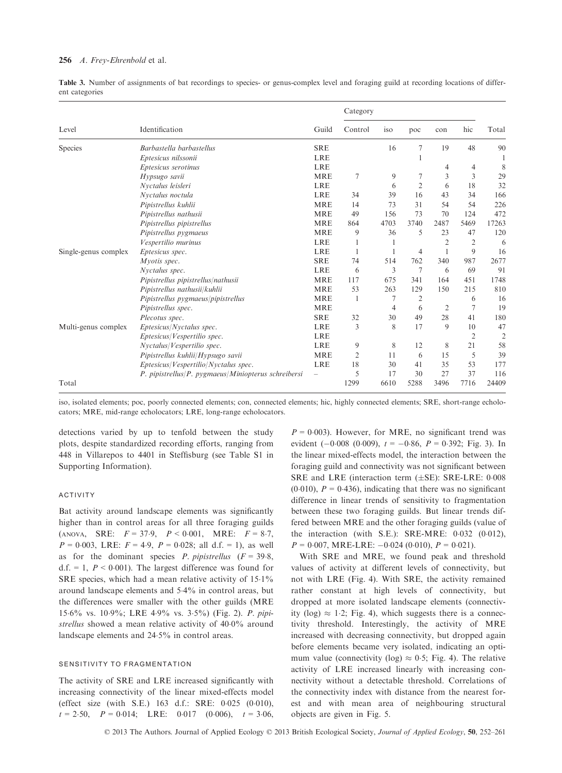### 256 A. Frey-Ehrenbold et al.

Table 3. Number of assignments of bat recordings to species- or genus-complex level and foraging guild at recording locations of different categories

|                      |                                                          |            | Category     |      |                |                |                |                |
|----------------------|----------------------------------------------------------|------------|--------------|------|----------------|----------------|----------------|----------------|
| Level                | Identification                                           | Guild      | Control      | iso  | poc            | con            | hic            | Total          |
| Species              | Barbastella barbastellus                                 | <b>SRE</b> |              | 16   | 7              | 19             | 48             | 90             |
|                      | Eptesicus nilssonii                                      | <b>LRE</b> |              |      |                |                |                |                |
|                      | Eptesicus serotinus                                      | <b>LRE</b> |              |      |                | 4              | 4              | 8              |
|                      | Hypsugo savii                                            | <b>MRE</b> | 7            | 9    | 7              | 3              | 3              | 29             |
|                      | Nyctalus leisleri                                        | <b>LRE</b> |              | 6    | 2              | 6              | 18             | 32             |
|                      | Nyctalus noctula                                         | <b>LRE</b> | 34           | 39   | 16             | 43             | 34             | 166            |
|                      | Pipistrellus kuhlii                                      | <b>MRE</b> | 14           | 73   | 31             | 54             | 54             | 226            |
|                      | Pipistrellus nathusii                                    | <b>MRE</b> | 49           | 156  | 73             | 70             | 124            | 472            |
|                      | Pipistrellus pipistrellus                                | <b>MRE</b> | 864          | 4703 | 3740           | 2487           | 5469           | 17263          |
|                      | Pipistrellus pygmaeus                                    | <b>MRE</b> | 9            | 36   | 5              | 23             | 47             | 120            |
|                      | Vespertilio murinus                                      | <b>LRE</b> |              |      |                | $\overline{2}$ | $\overline{2}$ | 6              |
| Single-genus complex | Eptesicus spec.                                          | <b>LRE</b> | 1            |      | 4              |                | 9              | 16             |
|                      | Myotis spec.                                             | <b>SRE</b> | 74           | 514  | 762            | 340            | 987            | 2677           |
|                      | Nvctalus spec.                                           | <b>LRE</b> | 6            | 3    | 7              | 6              | 69             | 91             |
|                      | Pipistrellus pipistrellus/nathusii                       | <b>MRE</b> | 117          | 675  | 341            | 164            | 451            | 1748           |
|                      | Pipistrellus nathusii/kuhlii                             | <b>MRE</b> | 53           | 263  | 129            | 150            | 215            | 810            |
|                      | Pipistrellus pygmaeus/pipistrellus                       | <b>MRE</b> | $\mathbf{1}$ | 7    | $\overline{2}$ |                | 6              | 16             |
|                      | Pipistrellus spec.                                       | <b>MRE</b> |              | 4    | 6              | 2              | 7              | 19             |
|                      | Plecotus spec.                                           | <b>SRE</b> | 32           | 30   | 49             | 28             | 41             | 180            |
| Multi-genus complex  | Eptesicus/Nvctalus spec.                                 | <b>LRE</b> | 3            | 8    | 17             | 9              | 10             | 47             |
|                      | Eptesicus/Vespertilio spec.                              | <b>LRE</b> |              |      |                |                | $\overline{2}$ | $\overline{2}$ |
|                      | Nyctalus/Vespertilio spec.                               | <b>LRE</b> | 9            | 8    | 12             | 8              | 21             | 58             |
|                      | Pipistrellus kuhlii/Hypsugo savii                        | <b>MRE</b> | 2            | 11   | 6              | 15             | 5              | 39             |
|                      | Eptesicus/Vespertilio/Nyctalus spec.                     | <b>LRE</b> | 18           | 30   | 41             | 35             | 53             | 177            |
|                      | $P.$ pipistrellus/ $P.$ pygmaeus/Miniopterus schreibersi |            | 5            | 17   | 30             | 27             | 37             | 116            |
| Total                |                                                          |            | 1299         | 6610 | 5288           | 3496           | 7716           | 24409          |

iso, isolated elements; poc, poorly connected elements; con, connected elements; hic, highly connected elements; SRE, short-range echolocators; MRE, mid-range echolocators; LRE, long-range echolocators.

detections varied by up to tenfold between the study plots, despite standardized recording efforts, ranging from 448 in Villarepos to 4401 in Steffisburg (see Table S1 in Supporting Information).

## ACTIVITY

Bat activity around landscape elements was significantly higher than in control areas for all three foraging guilds (ANOVA, SRE:  $F = 37.9$ ,  $P < 0.001$ , MRE:  $F = 8.7$ ,  $P = 0.003$ , LRE:  $F = 4.9$ ,  $P = 0.028$ ; all d.f. = 1), as well as for the dominant species *P. pipistrellus*  $(F = 39.8,$ d.f. = 1,  $P < 0.001$ ). The largest difference was found for SRE species, which had a mean relative activity of 15.1% around landscape elements and 54% in control areas, but the differences were smaller with the other guilds (MRE 156% vs. 109%; LRE 49% vs. 35%) (Fig. 2). P. pipistrellus showed a mean relative activity of 40.0% around landscape elements and 245% in control areas.

### SENSITIVITY TO FRAGMENTATION

The activity of SRE and LRE increased significantly with increasing connectivity of the linear mixed-effects model (effect size (with S.E.) 163 d.f.: SRE: 0.025 (0.010),  $t = 2.50$ ,  $P = 0.014$ ; LRE: 0.017 (0.006),  $t = 3.06$ ,

 $P = 0.003$ ). However, for MRE, no significant trend was evident  $(-0.008 (0.009))$ ,  $t = -0.86$ ,  $P = 0.392$ ; Fig. 3). In the linear mixed-effects model, the interaction between the foraging guild and connectivity was not significant between SRE and LRE (interaction term  $(\pm SE)$ : SRE-LRE: 0.008  $(0.010)$ ,  $P = 0.436$ , indicating that there was no significant difference in linear trends of sensitivity to fragmentation between these two foraging guilds. But linear trends differed between MRE and the other foraging guilds (value of the interaction (with S.E.): SRE-MRE:  $0.032$  (0.012),  $P = 0.007$ , MRE-LRE:  $-0.024$  (0.010),  $P = 0.021$ ).

With SRE and MRE, we found peak and threshold values of activity at different levels of connectivity, but not with LRE (Fig. 4). With SRE, the activity remained rather constant at high levels of connectivity, but dropped at more isolated landscape elements (connectivity (log)  $\approx$  1.2; Fig. 4), which suggests there is a connectivity threshold. Interestingly, the activity of MRE increased with decreasing connectivity, but dropped again before elements became very isolated, indicating an optimum value (connectivity (log)  $\approx 0.5$ ; Fig. 4). The relative activity of LRE increased linearly with increasing connectivity without a detectable threshold. Correlations of the connectivity index with distance from the nearest forest and with mean area of neighbouring structural objects are given in Fig. 5.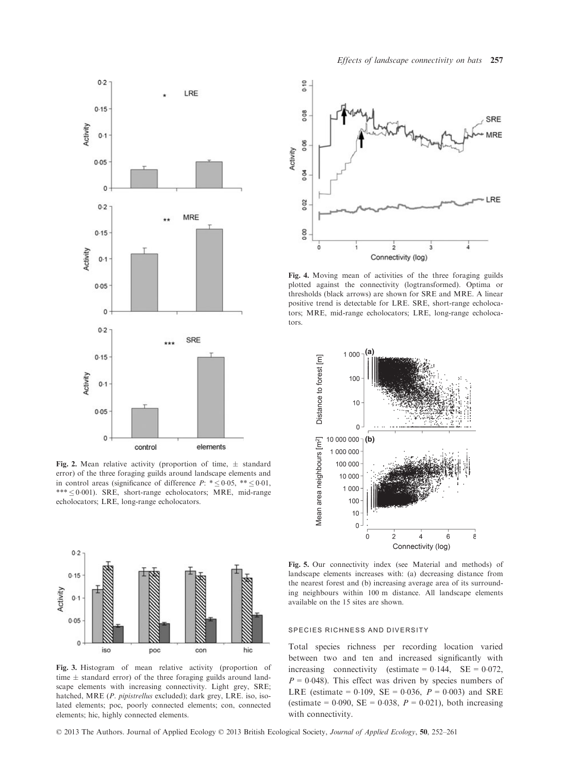

Fig. 2. Mean relative activity (proportion of time,  $\pm$  standard error) of the three foraging guilds around landscape elements and in control areas (significance of difference  $P: * \leq 0.05, ** \leq 0.01$ ,  $*** \leq 0.001$ ). SRE, short-range echolocators; MRE, mid-range echolocators; LRE, long-range echolocators.



Fig. 3. Histogram of mean relative activity (proportion of time  $\pm$  standard error) of the three foraging guilds around landscape elements with increasing connectivity. Light grey, SRE; hatched, MRE (P. pipistrellus excluded); dark grey, LRE. iso, isolated elements; poc, poorly connected elements; con, connected elements; hic, highly connected elements.

© 2013 The Authors. Journal of Applied Ecology © 2013 British Ecological Society, Journal of Applied Ecology, 50, 252–261



Fig. 4. Moving mean of activities of the three foraging guilds plotted against the connectivity (logtransformed). Optima or thresholds (black arrows) are shown for SRE and MRE. A linear positive trend is detectable for LRE. SRE, short-range echolocators; MRE, mid-range echolocators; LRE, long-range echolocators.



Fig. 5. Our connectivity index (see Material and methods) of landscape elements increases with: (a) decreasing distance from the nearest forest and (b) increasing average area of its surrounding neighbours within 100 m distance. All landscape elements available on the 15 sites are shown.

#### SPECIES RICHNESS AND DIVERSITY

Total species richness per recording location varied between two and ten and increased significantly with increasing connectivity (estimate =  $0.144$ , SE =  $0.072$ ,  $P = 0.048$ ). This effect was driven by species numbers of LRE (estimate =  $0.109$ , SE =  $0.036$ ,  $P = 0.003$ ) and SRE (estimate = 0.090, SE = 0.038,  $P = 0.021$ ), both increasing with connectivity.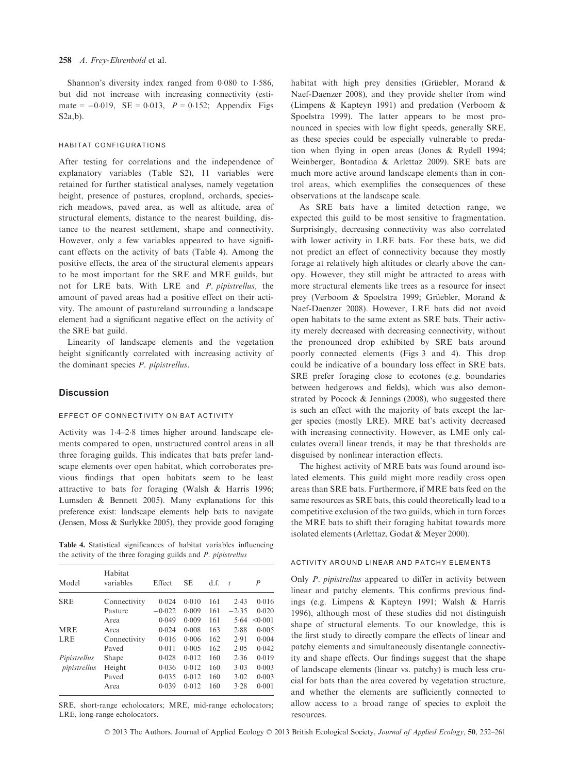Shannon's diversity index ranged from 0.080 to 1.586, but did not increase with increasing connectivity (estimate =  $-0.019$ , SE = 0.013,  $P = 0.152$ ; Appendix Figs S2a,b).

## HABITAT CONFIGURATIONS

After testing for correlations and the independence of explanatory variables (Table S2), 11 variables were retained for further statistical analyses, namely vegetation height, presence of pastures, cropland, orchards, speciesrich meadows, paved area, as well as altitude, area of structural elements, distance to the nearest building, distance to the nearest settlement, shape and connectivity. However, only a few variables appeared to have significant effects on the activity of bats (Table 4). Among the positive effects, the area of the structural elements appears to be most important for the SRE and MRE guilds, but not for LRE bats. With LRE and P. pipistrellus, the amount of paved areas had a positive effect on their activity. The amount of pastureland surrounding a landscape element had a significant negative effect on the activity of the SRE bat guild.

Linearity of landscape elements and the vegetation height significantly correlated with increasing activity of the dominant species P. pipistrellus.

## **Discussion**

## EFFECT OF CONNECTIVITY ON BAT ACTIVITY

Activity was 14–28 times higher around landscape elements compared to open, unstructured control areas in all three foraging guilds. This indicates that bats prefer landscape elements over open habitat, which corroborates previous findings that open habitats seem to be least attractive to bats for foraging (Walsh & Harris 1996; Lumsden & Bennett 2005). Many explanations for this preference exist: landscape elements help bats to navigate (Jensen, Moss & Surlykke 2005), they provide good foraging

Table 4. Statistical significances of habitat variables influencing the activity of the three foraging guilds and P. pipistrellus

| Model        | Habitat<br>variables | <b>Effect</b> | <b>SE</b> | d.f. | $\boldsymbol{t}$ | P       |
|--------------|----------------------|---------------|-----------|------|------------------|---------|
| <b>SRE</b>   | Connectivity         | 0.024         | 0.010     | 161  | 2.43             | 0.016   |
|              | Pasture              | $-0.022$      | 0.009     | 161  | $-2.35$          | 0.020   |
|              | Area                 | 0.049         | 0.009     | 161  | 5.64             | < 0.001 |
| <b>MRE</b>   | Area                 | 0.024         | 0.008     | 163  | 2.88             | 0.005   |
| LRE          | Connectivity         | 0.016         | 0.006     | 162  | 2.91             | 0.004   |
|              | Paved                | 0.011         | 0.005     | 162  | 2.05             | 0.042   |
| Pipistrellus | Shape                | 0.028         | 0.012     | 160  | 2.36             | 0.019   |
| pipistrellus | Height               | 0.036         | 0.012     | 160  | 3.03             | 0.003   |
|              | Paved                | 0.035         | 0.012     | 160  | 3.02             | 0.003   |
|              | Area                 | 0.039         | 0.012     | 160  | 3.28             | 0.001   |

SRE, short-range echolocators; MRE, mid-range echolocators; LRE, long-range echolocators.

habitat with high prey densities (Grüebler, Morand  $\&$ Naef-Daenzer 2008), and they provide shelter from wind (Limpens & Kapteyn 1991) and predation (Verboom & Spoelstra 1999). The latter appears to be most pronounced in species with low flight speeds, generally SRE, as these species could be especially vulnerable to predation when flying in open areas (Jones & Rydell 1994; Weinberger, Bontadina & Arlettaz 2009). SRE bats are much more active around landscape elements than in control areas, which exemplifies the consequences of these observations at the landscape scale.

As SRE bats have a limited detection range, we expected this guild to be most sensitive to fragmentation. Surprisingly, decreasing connectivity was also correlated with lower activity in LRE bats. For these bats, we did not predict an effect of connectivity because they mostly forage at relatively high altitudes or clearly above the canopy. However, they still might be attracted to areas with more structural elements like trees as a resource for insect prey (Verboom & Spoelstra 1999; Grüebler, Morand & Naef-Daenzer 2008). However, LRE bats did not avoid open habitats to the same extent as SRE bats. Their activity merely decreased with decreasing connectivity, without the pronounced drop exhibited by SRE bats around poorly connected elements (Figs 3 and 4). This drop could be indicative of a boundary loss effect in SRE bats. SRE prefer foraging close to ecotones (e.g. boundaries between hedgerows and fields), which was also demonstrated by Pocock & Jennings (2008), who suggested there is such an effect with the majority of bats except the larger species (mostly LRE). MRE bat's activity decreased with increasing connectivity. However, as LME only calculates overall linear trends, it may be that thresholds are disguised by nonlinear interaction effects.

The highest activity of MRE bats was found around isolated elements. This guild might more readily cross open areas than SRE bats. Furthermore, if MRE bats feed on the same resources as SRE bats, this could theoretically lead to a competitive exclusion of the two guilds, which in turn forces the MRE bats to shift their foraging habitat towards more isolated elements (Arlettaz, Godat & Meyer 2000).

## ACTIVITY AROUND LINEAR AND PATCHY ELEMENTS

Only P. pipistrellus appeared to differ in activity between linear and patchy elements. This confirms previous findings (e.g. Limpens & Kapteyn 1991; Walsh & Harris 1996), although most of these studies did not distinguish shape of structural elements. To our knowledge, this is the first study to directly compare the effects of linear and patchy elements and simultaneously disentangle connectivity and shape effects. Our findings suggest that the shape of landscape elements (linear vs. patchy) is much less crucial for bats than the area covered by vegetation structure, and whether the elements are sufficiently connected to allow access to a broad range of species to exploit the resources.

© 2013 The Authors. Journal of Applied Ecology © 2013 British Ecological Society, Journal of Applied Ecology, 50, 252–261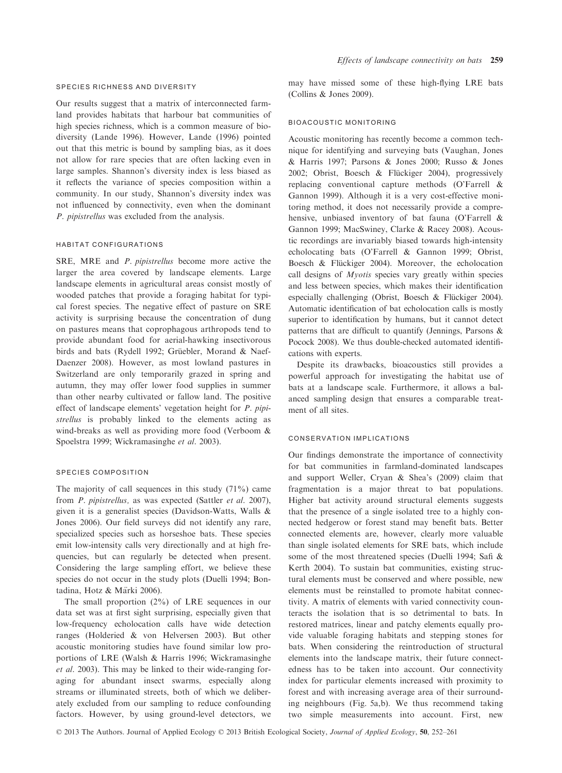#### SPECIES RICHNESS AND DIVERSITY

Our results suggest that a matrix of interconnected farmland provides habitats that harbour bat communities of high species richness, which is a common measure of biodiversity (Lande 1996). However, Lande (1996) pointed out that this metric is bound by sampling bias, as it does not allow for rare species that are often lacking even in large samples. Shannon's diversity index is less biased as it reflects the variance of species composition within a community. In our study, Shannon's diversity index was not influenced by connectivity, even when the dominant P. pipistrellus was excluded from the analysis.

## HABITAT CONFIGURATIONS

SRE, MRE and P. pipistrellus become more active the larger the area covered by landscape elements. Large landscape elements in agricultural areas consist mostly of wooded patches that provide a foraging habitat for typical forest species. The negative effect of pasture on SRE activity is surprising because the concentration of dung on pastures means that coprophagous arthropods tend to provide abundant food for aerial-hawking insectivorous birds and bats (Rydell 1992; Grüebler, Morand & Naef-Daenzer 2008). However, as most lowland pastures in Switzerland are only temporarily grazed in spring and autumn, they may offer lower food supplies in summer than other nearby cultivated or fallow land. The positive effect of landscape elements' vegetation height for P. pipistrellus is probably linked to the elements acting as wind-breaks as well as providing more food (Verboom & Spoelstra 1999; Wickramasinghe et al. 2003).

#### SPECIES COMPOSITION

The majority of call sequences in this study (71%) came from P. pipistrellus, as was expected (Sattler et al. 2007), given it is a generalist species (Davidson-Watts, Walls & Jones 2006). Our field surveys did not identify any rare, specialized species such as horseshoe bats. These species emit low-intensity calls very directionally and at high frequencies, but can regularly be detected when present. Considering the large sampling effort, we believe these species do not occur in the study plots (Duelli 1994; Bontadina, Hotz & Märki 2006).

The small proportion (2%) of LRE sequences in our data set was at first sight surprising, especially given that low-frequency echolocation calls have wide detection ranges (Holderied & von Helversen 2003). But other acoustic monitoring studies have found similar low proportions of LRE (Walsh & Harris 1996; Wickramasinghe et al. 2003). This may be linked to their wide-ranging foraging for abundant insect swarms, especially along streams or illuminated streets, both of which we deliberately excluded from our sampling to reduce confounding factors. However, by using ground-level detectors, we may have missed some of these high-flying LRE bats (Collins & Jones 2009).

## BIOACOUSTIC MONITORING

Acoustic monitoring has recently become a common technique for identifying and surveying bats (Vaughan, Jones & Harris 1997; Parsons & Jones 2000; Russo & Jones 2002; Obrist, Boesch & Flückiger 2004), progressively replacing conventional capture methods (O'Farrell & Gannon 1999). Although it is a very cost-effective monitoring method, it does not necessarily provide a comprehensive, unbiased inventory of bat fauna (O'Farrell & Gannon 1999; MacSwiney, Clarke & Racey 2008). Acoustic recordings are invariably biased towards high-intensity echolocating bats (O'Farrell & Gannon 1999; Obrist, Boesch & Flückiger 2004). Moreover, the echolocation call designs of Myotis species vary greatly within species and less between species, which makes their identification especially challenging (Obrist, Boesch & Flückiger 2004). Automatic identification of bat echolocation calls is mostly superior to identification by humans, but it cannot detect patterns that are difficult to quantify (Jennings, Parsons & Pocock 2008). We thus double-checked automated identifications with experts.

Despite its drawbacks, bioacoustics still provides a powerful approach for investigating the habitat use of bats at a landscape scale. Furthermore, it allows a balanced sampling design that ensures a comparable treatment of all sites.

## CONSERVATION IMPLICATIONS

Our findings demonstrate the importance of connectivity for bat communities in farmland-dominated landscapes and support Weller, Cryan & Shea's (2009) claim that fragmentation is a major threat to bat populations. Higher bat activity around structural elements suggests that the presence of a single isolated tree to a highly connected hedgerow or forest stand may benefit bats. Better connected elements are, however, clearly more valuable than single isolated elements for SRE bats, which include some of the most threatened species (Duelli 1994; Safi & Kerth 2004). To sustain bat communities, existing structural elements must be conserved and where possible, new elements must be reinstalled to promote habitat connectivity. A matrix of elements with varied connectivity counteracts the isolation that is so detrimental to bats. In restored matrices, linear and patchy elements equally provide valuable foraging habitats and stepping stones for bats. When considering the reintroduction of structural elements into the landscape matrix, their future connectedness has to be taken into account. Our connectivity index for particular elements increased with proximity to forest and with increasing average area of their surrounding neighbours (Fig. 5a,b). We thus recommend taking two simple measurements into account. First, new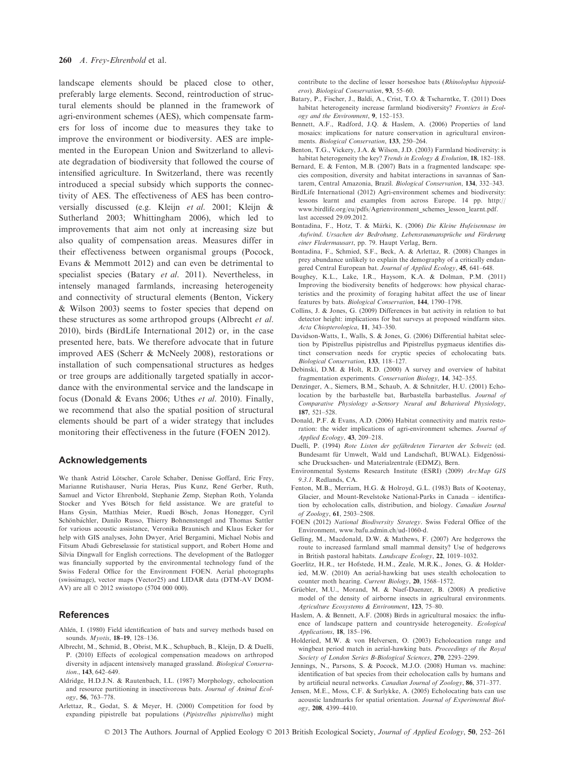landscape elements should be placed close to other, preferably large elements. Second, reintroduction of structural elements should be planned in the framework of agri-environment schemes (AES), which compensate farmers for loss of income due to measures they take to improve the environment or biodiversity. AES are implemented in the European Union and Switzerland to alleviate degradation of biodiversity that followed the course of intensified agriculture. In Switzerland, there was recently introduced a special subsidy which supports the connectivity of AES. The effectiveness of AES has been controversially discussed (e.g. Kleijn et al. 2001; Kleijn & Sutherland 2003; Whittingham 2006), which led to improvements that aim not only at increasing size but also quality of compensation areas. Measures differ in their effectiveness between organismal groups (Pocock, Evans & Memmott 2012) and can even be detrimental to specialist species (Batary et al. 2011). Nevertheless, in intensely managed farmlands, increasing heterogeneity and connectivity of structural elements (Benton, Vickery & Wilson 2003) seems to foster species that depend on these structures as some arthropod groups (Albrecht et al. 2010), birds (BirdLife International 2012) or, in the case presented here, bats. We therefore advocate that in future improved AES (Scherr & McNeely 2008), restorations or installation of such compensational structures as hedges or tree groups are additionally targeted spatially in accordance with the environmental service and the landscape in focus (Donald & Evans 2006; Uthes et al. 2010). Finally, we recommend that also the spatial position of structural elements should be part of a wider strategy that includes monitoring their effectiveness in the future (FOEN 2012).

## Acknowledgements

We thank Astrid Lötscher, Carole Schaber, Denisse Goffard, Eric Frey, Marianne Rutishauser, Nuria Heras, Pius Kunz, René Gerber, Ruth, Samuel and Victor Ehrenbold, Stephanie Zemp, Stephan Roth, Yolanda Stocker and Yves Bötsch for field assistance. We are grateful to Hans Gysin, Matthias Meier, Ruedi Bösch, Jonas Honegger, Cyril Schönbächler, Danilo Russo, Thierry Bohnenstengel and Thomas Sattler for various acoustic assistance, Veronika Braunisch and Klaus Ecker for help with GIS analyses, John Dwyer, Ariel Bergamini, Michael Nobis and Fitsum Abadi Gebreselassie for statistical support, and Robert Home and Silvia Dingwall for English corrections. The development of the Batlogger was financially supported by the environmental technology fund of the Swiss Federal Office for the Environment FOEN. Aerial photographs (swissimage), vector maps (Vector25) and LIDAR data (DTM-AV DOM-AV) are all © 2012 swisstopo (5704 000 000).

## References

- Ahlén, I. (1980) Field identification of bats and survey methods based on sounds. Myotis, 18–19, 128–136.
- Albrecht, M., Schmid, B., Obrist, M.K., Schupbach, B., Kleijn, D. & Duelli, P. (2010) Effects of ecological compensation meadows on arthropod diversity in adjacent intensively managed grassland. Biological Conservation., 143, 642–649.
- Aldridge, H.D.J.N. & Rautenbach, I.L. (1987) Morphology, echolocation and resource partitioning in insectivorous bats. Journal of Animal Ecology, 56, 763–778.
- Arlettaz, R., Godat, S. & Meyer, H. (2000) Competition for food by expanding pipistrelle bat populations (*Pipistrellus pipistrellus*) might

contribute to the decline of lesser horseshoe bats (*Rhinolophus hipposid-eros*). *Biological Conservation*. **93**, 55-60.

- eros). Biological Conservation, 93, 55–60.<br>Batary, P., Fischer, J., Baldi, A., Crist, T.O. & Tscharntke, T. (2011) Does habitat heterogeneity increase farmland biodiversity? Frontiers in Ecology and the Environment, 9, 152–153.
- Bennett, A.F., Radford, J.Q. & Haslem, A. (2006) Properties of land mosaics: implications for nature conservation in agricultural environ-<br>ments. *Biological Conservation*, 133, 250-264.
- ments. *Biological Conservation*, 133, 250–264.<br>Benton, T.G., Vickery, J.A. & Wilson, J.D. (2003) Farmland biodiversity: is habitat heterogeneity the key? Trends in Ecology & Evolution, 18, 182–188.
- Bernard, E. & Fenton, M.B. (2007) Bats in a fragmented landscape: species composition, diversity and habitat interactions in savannas of Santarem, Central Amazonia, Brazil. Biological Conservation, 134, 332–343.
- BirdLife International (2012) Agri-environment schemes and biodiversity: lessons learnt and examples from across Europe. 14 pp. http:// www.birdlife.org/eu/pdfs/Agrienvironment\_schemes\_lesson\_learnt.pdf. last accessed 29.09.2012.
- Bontadina, F., Hotz, T. & Märki, K. (2006) Die Kleine Hufeisennase im Aufwind. Ursachen der Bedrohung, Lebensraumansprüche und Förderung einer Fledermausart, pp. 79. Haupt Verlag, Bern.
- Bontadina, F., Schmied, S.F., Beck, A. & Arlettaz, R. (2008) Changes in prey abundance unlikely to explain the demography of a critically endangered Central European bat. Journal of Applied Ecology, 45, 641–648.
- Boughey, K.L., Lake, I.R., Haysom, K.A. & Dolman, P.M. (2011) Improving the biodiversity benefits of hedgerows: how physical characteristics and the proximity of foraging habitat affect the use of linear features by bats. Biological Conservation, 144, 1790–1798.
- Collins, J. & Jones, G. (2009) Differences in bat activity in relation to bat detector height: implications for bat surveys at proposed windfarm sites. Acta Chiopterologica, 11, 343–350.
- Davidson-Watts, I., Walls, S. & Jones, G. (2006) Differential habitat selection by Pipistrellus pipistrellus and Pipistrellus pygmaeus identifies distinct conservation needs for cryptic species of echolocating bats. Biological Conservation, 133, 118–127.
- Debinski, D.M. & Holt, R.D. (2000) A survey and overview of habitat fragmentation experiments. Conservation Biology, 14, 342–355.
- Denzinger, A., Siemers, B.M., Schaub, A. & Schnitzler, H.U. (2001) Echolocation by the barbastelle bat, Barbastella barbastellus. Journal of Comparative Physiology a-Sensory Neural and Behavioral Physiology, 187, 521–528.
- Donald, P.F. & Evans, A.D. (2006) Habitat connectivity and matrix restoration: the wider implications of agri-environment schemes. Journal of Applied Ecology, 43, 209–218.
- Duelli, P. (1994) Rote Listen der gefährdeten Tierarten der Schweiz (ed. Bundesamt für Umwelt, Wald und Landschaft, BUWAL). Eidgenössische Drucksachen- und Materialzentrale (EDMZ), Bern.
- Environmental Systems Research Institute (ESRI) (2009) ArcMap GIS 9.3.1. Redlands, CA.
- Fenton, M.B., Merriam, H.G. & Holroyd, G.L. (1983) Bats of Kootenay, Glacier, and Mount-Revelstoke National-Parks in Canada – identification by echolocation calls, distribution, and biology. Canadian Journal of Zoology, 61, 2503–2508.
- FOEN (2012) National Biodiversity Strategy. Swiss Federal Office of the Environment, www.bafu.admin.ch/ud-1060-d.
- Gelling, M., Macdonald, D.W. & Mathews, F. (2007) Are hedgerows the route to increased farmland small mammal density? Use of hedgerows in British pastoral habitats. Landscape Ecology, 22, 1019–1032.
- Goerlitz, H.R., ter Hofstede, H.M., Zeale, M.R.K., Jones, G. & Holderied, M.W. (2010) An aerial-hawking bat uses stealth echolocation to counter moth hearing. Current Biology, 20, 1568–1572.
- Grüebler, M.U., Morand, M. & Naef-Daenzer, B. (2008) A predictive model of the density of airborne insects in agricultural environments. Agriculture Ecosystems & Environment, 123, 75–80.
- Haslem, A. & Bennett, A.F. (2008) Birds in agricultural mosaics: the influence of landscape pattern and countryside heterogeneity. Ecological Applications, 18, 185–196.
- Holderied, M.W. & von Helversen, O. (2003) Echolocation range and wingbeat period match in aerial-hawking bats. Proceedings of the Royal Society of London Series B-Biological Sciences, 270, 2293–2299.
- Jennings, N., Parsons, S. & Pocock, M.J.O. (2008) Human vs. machine: identification of bat species from their echolocation calls by humans and by artificial neural networks. Canadian Journal of Zoology, 86, 371–377.
- Jensen, M.E., Moss, C.F. & Surlykke, A. (2005) Echolocating bats can use acoustic landmarks for spatial orientation. Journal of Experimental Biology, 208, 4399–4410.